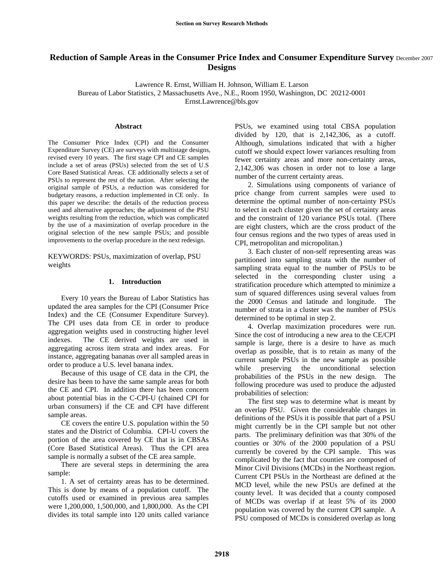# **Reduction of Sample Areas in the Consumer Price Index and Consumer Expenditure Survey** December 2007 **Designs**

Lawrence R. Ernst, William H. Johnson, William E. Larson

Bureau of Labor Statistics, 2 Massachusetts Ave., N.E., Room 1950, Washington, DC 20212-0001

Ernst.Lawrence@bls.gov

### **Abstract**

The Consumer Price Index (CPI) and the Consumer Expenditure Survey (CE) are surveys with multistage designs, revised every 10 years. The first stage CPI and CE samples include a set of areas (PSUs) selected from the set of U.S Core Based Statistical Areas. CE additionally selects a set of PSUs to represent the rest of the nation. After selecting the original sample of PSUs, a reduction was considered for budgetary reasons, a reduction implemented in CE only. In this paper we describe: the details of the reduction process used and alternative approaches; the adjustment of the PSU weights resulting from the reduction, which was complicated by the use of a maximization of overlap procedure in the original selection of the new sample PSUs; and possible improvements to the overlap procedure in the next redesign.

KEYWORDS: PSUs, maximization of overlap, PSU weights

# **1. Introduction**

Every 10 years the Bureau of Labor Statistics has updated the area samples for the CPI (Consumer Price Index) and the CE (Consumer Expenditure Survey). The CPI uses data from CE in order to produce aggregation weights used in constructing higher level indexes. The CE derived weights are used in aggregating across item strata and index areas. For instance, aggregating bananas over all sampled areas in order to produce a U.S. level banana index.

Because of this usage of CE data in the CPI, the desire has been to have the same sample areas for both the CE and CPI. In addition there has been concern about potential bias in the C-CPI-U (chained CPI for urban consumers) if the CE and CPI have different sample areas.

CE covers the entire U.S. population within the 50 states and the District of Columbia. CPI-U covers the portion of the area covered by CE that is in CBSAs (Core Based Statistical Areas). Thus the CPI area sample is normally a subset of the CE area sample.

There are several steps in determining the area sample:

1. A set of certainty areas has to be determined. This is done by means of a population cutoff. The cutoffs used or examined in previous area samples were 1,200,000, 1,500,000, and 1,800,000. As the CPI divides its total sample into 120 units called variance PSUs, we examined using total CBSA population divided by 120, that is 2,142,306, as a cutoff. Although, simulations indicated that with a higher cutoff we should expect lower variances resulting from fewer certainty areas and more non-certainty areas, 2,142,306 was chosen in order not to lose a large number of the current certainty areas.

2. Simulations using components of variance of price change from current samples were used to determine the optimal number of non-certainty PSUs to select in each cluster given the set of certainty areas and the constraint of 120 variance PSUs total. (There are eight clusters, which are the cross product of the four census regions and the two types of areas used in CPI, metropolitan and micropolitan.)

3. Each cluster of non-self representing areas was partitioned into sampling strata with the number of sampling strata equal to the number of PSUs to be selected in the corresponding cluster using a stratification procedure which attempted to minimize a sum of squared differences using several values from the 2000 Census and latitude and longitude. The number of strata in a cluster was the number of PSUs determined to be optimal in step 2.

4. Overlap maximization procedures were run. Since the cost of introducing a new area to the CE/CPI sample is large, there is a desire to have as much overlap as possible, that is to retain as many of the current sample PSUs in the new sample as possible while preserving the unconditional selection probabilities of the PSUs in the new design. The following procedure was used to produce the adjusted probabilities of selection:

The first step was to determine what is meant by an overlap PSU. Given the considerable changes in definitions of the PSUs it is possible that part of a PSU might currently be in the CPI sample but not other parts. The preliminary definition was that 30% of the counties or 30% of the 2000 population of a PSU currently be covered by the CPI sample. This was complicated by the fact that counties are composed of Minor Civil Divisions (MCDs) in the Northeast region. Current CPI PSUs in the Northeast are defined at the MCD level, while the new PSUs are defined at the county level. It was decided that a county composed of MCDs was overlap if at least 5% of its 2000 population was covered by the current CPI sample. A PSU composed of MCDs is considered overlap as long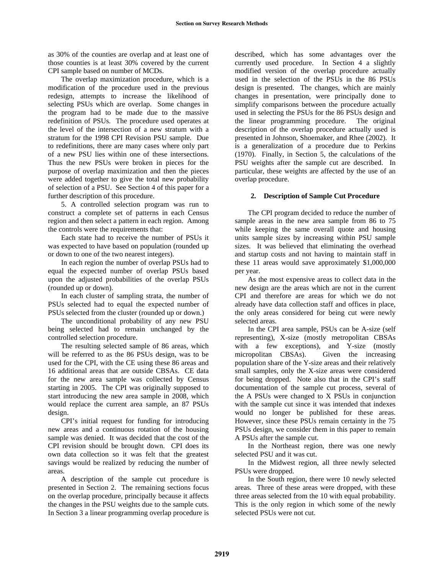as 30% of the counties are overlap and at least one of those counties is at least 30% covered by the current CPI sample based on number of MCDs.

The overlap maximization procedure, which is a modification of the procedure used in the previous redesign, attempts to increase the likelihood of selecting PSUs which are overlap. Some changes in the program had to be made due to the massive redefinition of PSUs. The procedure used operates at the level of the intersection of a new stratum with a stratum for the 1998 CPI Revision PSU sample. Due to redefinitions, there are many cases where only part of a new PSU lies within one of these intersections. Thus the new PSUs were broken in pieces for the purpose of overlap maximization and then the pieces were added together to give the total new probability of selection of a PSU. See Section 4 of this paper for a further description of this procedure.

5. A controlled selection program was run to construct a complete set of patterns in each Census region and then select a pattern in each region. Among the controls were the requirements that:

Each state had to receive the number of PSUs it was expected to have based on population (rounded up or down to one of the two nearest integers).

In each region the number of overlap PSUs had to equal the expected number of overlap PSUs based upon the adjusted probabilities of the overlap PSUs (rounded up or down).

In each cluster of sampling strata, the number of PSUs selected had to equal the expected number of PSUs selected from the cluster (rounded up or down.)

The unconditional probability of any new PSU being selected had to remain unchanged by the controlled selection procedure.

The resulting selected sample of 86 areas, which will be referred to as the 86 PSUs design, was to be used for the CPI, with the CE using these 86 areas and 16 additional areas that are outside CBSAs. CE data for the new area sample was collected by Census starting in 2005. The CPI was originally supposed to start introducing the new area sample in 2008, which would replace the current area sample, an 87 PSUs design.

CPI's initial request for funding for introducing new areas and a continuous rotation of the housing sample was denied. It was decided that the cost of the CPI revision should be brought down. CPI does its own data collection so it was felt that the greatest savings would be realized by reducing the number of areas.

A description of the sample cut procedure is presented in Section 2. The remaining sections focus on the overlap procedure, principally because it affects the changes in the PSU weights due to the sample cuts. In Section 3 a linear programming overlap procedure is described, which has some advantages over the currently used procedure. In Section 4 a slightly modified version of the overlap procedure actually used in the selection of the PSUs in the 86 PSUs design is presented. The changes, which are mainly changes in presentation, were principally done to simplify comparisons between the procedure actually used in selecting the PSUs for the 86 PSUs design and the linear programming procedure. The original description of the overlap procedure actually used is presented in Johnson, Shoemaker, and Rhee (2002). It is a generalization of a procedure due to Perkins (1970). Finally, in Section 5, the calculations of the PSU weights after the sample cut are described. In particular, these weights are affected by the use of an overlap procedure.

# **2. Description of Sample Cut Procedure**

The CPI program decided to reduce the number of sample areas in the new area sample from 86 to 75 while keeping the same overall quote and housing units sample sizes by increasing within PSU sample sizes. It was believed that eliminating the overhead and startup costs and not having to maintain staff in these 11 areas would save approximately \$1,000,000 per year.

As the most expensive areas to collect data in the new design are the areas which are not in the current CPI and therefore are areas for which we do not already have data collection staff and offices in place, the only areas considered for being cut were newly selected areas.

In the CPI area sample, PSUs can be A-size (self representing), X-size (mostly metropolitan CBSAs with a few exceptions), and Y-size (mostly micropolitan CBSAs). Given the increasing population share of the Y-size areas and their relatively small samples, only the X-size areas were considered for being dropped. Note also that in the CPI's staff documentation of the sample cut process, several of the A PSUs were changed to X PSUs in conjunction with the sample cut since it was intended that indexes would no longer be published for these areas. However, since these PSUs remain certainty in the 75 PSUs design, we consider them in this paper to remain A PSUs after the sample cut.

In the Northeast region, there was one newly selected PSU and it was cut.

In the Midwest region, all three newly selected PSUs were dropped.

In the South region, there were 10 newly selected areas. Three of these areas were dropped, with these three areas selected from the 10 with equal probability. This is the only region in which some of the newly selected PSUs were not cut.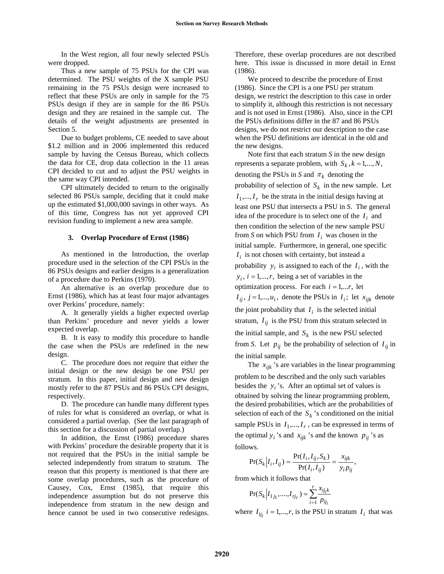In the West region, all four newly selected PSUs were dropped.

Thus a new sample of 75 PSUs for the CPI was determined. The PSU weights of the X sample PSU remaining in the 75 PSUs design were increased to reflect that these PSUs are only in sample for the 75 PSUs design if they are in sample for the 86 PSUs design and they are retained in the sample cut. The details of the weight adjustments are presented in Section 5.

Due to budget problems, CE needed to save about \$1.2 million and in 2006 implemented this reduced sample by having the Census Bureau, which collects the data for CE, drop data collection in the 11 areas CPI decided to cut and to adjust the PSU weights in the same way CPI intended.

CPI ultimately decided to return to the originally selected 86 PSUs sample, deciding that it could make up the estimated \$1,000,000 savings in other ways. As of this time, Congress has not yet approved CPI revision funding to implement a new area sample.

#### **3. Overlap Procedure of Ernst (1986)**

As mentioned in the Introduction, the overlap procedure used in the selection of the CPI PSUs in the 86 PSUs designs and earlier designs is a generalization of a procedure due to Perkins (1970).

An alternative is an overlap procedure due to Ernst (1986), which has at least four major advantages over Perkins' procedure, namely:

A. It generally yields a higher expected overlap than Perkins' procedure and never yields a lower expected overlap.

B. It is easy to modify this procedure to handle the case when the PSUs are redefined in the new design.

C. The procedure does not require that either the initial design or the new design be one PSU per stratum. In this paper, initial design and new design mostly refer to the 87 PSUs and 86 PSUs CPI designs, respectively.

D. The procedure can handle many different types of rules for what is considered an overlap, or what is considered a partial overlap. (See the last paragraph of this section for a discussion of partial overlap.)

In addition, the Ernst (1986) procedure shares with Perkins' procedure the desirable property that it is not required that the PSUs in the initial sample be selected independently from stratum to stratum. The reason that this property is mentioned is that there are some overlap procedures, such as the procedure of Causey, Cox, Ernst (1985), that require this independence assumption but do not preserve this independence from stratum in the new design and hence cannot be used in two consecutive redesigns.

Therefore, these overlap procedures are not described here. This issue is discussed in more detail in Ernst (1986).

We proceed to describe the procedure of Ernst (1986). Since the CPI is a one PSU per stratum design, we restrict the description to this case in order to simplify it, although this restriction is not necessary and is not used in Ernst (1986). Also, since in the CPI the PSUs definitions differ in the 87 and 86 PSUs designs, we do not restrict our description to the case when the PSU definitions are identical in the old and the new designs.

Note first that each stratum *S* in the new design represents a separate problem, with  $S_k$ ,  $k = 1, ..., N$ , denoting the PSUs in *S* and  $\pi_k$  denoting the probability of selection of  $S_k$  in the new sample. Let  $I_1, \ldots, I_r$  be the strata in the initial design having at least one PSU that intersects a PSU in *S*. The general idea of the procedure is to select one of the  $I_i$  and then condition the selection of the new sample PSU from *S* on which PSU from  $I_i$  was chosen in the initial sample. Furthermore, in general, one specific  $I_i$  is not chosen with certainty, but instead a probability  $y_i$  is assigned to each of the  $I_i$ , with the  $y_i$ ,  $i = 1,...,r$ , being a set of variables in the optimization process. For each  $i = 1,...r$ , let  $I_{ij}$ ,  $j = 1,...,u_i$ , denote the PSUs in  $I_i$ ; let  $x_{ijk}$  denote the joint probability that  $I_i$  is the selected initial stratum,  $I_{ij}$  is the PSU from this stratum selected in the initial sample, and  $S_k$  is the new PSU selected from *S*. Let  $p_{ij}$  be the probability of selection of  $I_{ij}$  in the initial sample.

The  $x_{ijk}$ 's are variables in the linear programming problem to be described and the only such variables besides the  $y_i$ 's. After an optimal set of values is obtained by solving the linear programming problem, the desired probabilities, which are the probabilities of selection of each of the  $S_k$ 's conditioned on the initial sample PSUs in  $I_1, \ldots, I_r$ , can be expressed in terms of the optimal  $y_i$ 's and  $x_{ijk}$ 's and the known  $p_{ij}$ 's as follows.

$$
\Pr(S_k | I_i, I_{ij}) = \frac{\Pr(I_i, I_{ij}, S_k)}{\Pr(I_i, I_{ij})} = \frac{x_{ijk}}{y_i p_{ij}},
$$

from which it follows that

$$
Pr(S_k | I_{1j_1},...,I_{rj_r}) = \sum_{i=1}^{r} \frac{x_{ij_ik}}{p_{ij_i}}
$$

where  $I_{ij}$   $i = 1,...,r$ , is the PSU in stratum  $I_i$  that was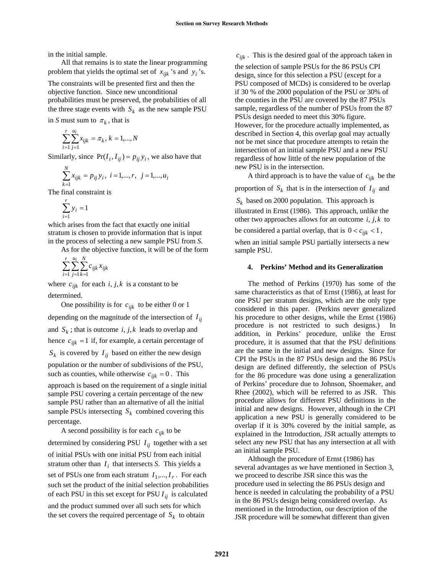in the initial sample.

All that remains is to state the linear programming problem that yields the optimal set of  $x_{ijk}$  's and  $y_i$ 's.

The constraints will be presented first and then the objective function. Since new unconditional probabilities must be preserved, the probabilities of all the three stage events with  $S_k$  as the new sample PSU

in *S* must sum to  $\pi_k$ , that is

$$
\sum_{i=1}^r \sum_{j=1}^{u_i} x_{ijk} = \pi_k, \, k=1,...,N
$$

Similarly, since  $Pr(I_i, I_{ij}) = p_{ij} y_i$ , we also have that

$$
\sum_{k=1}^{N} x_{ijk} = p_{ij} y_i, i = 1,...,r, j = 1,...,u_i
$$

The final constraint is

$$
\sum_{i=1}^r y_i = 1
$$

which arises from the fact that exactly one initial stratum is chosen to provide information that is input in the process of selecting a new sample PSU from *S*.

As for the objective function, it will be of the form

$$
\sum_{i=1}^r \sum_{j=1}^{u_i} \sum_{k=1}^N c_{ijk} x_{ijk}
$$

where  $c_{ijk}$  for each *i*, *j*, *k* is a constant to be determined.

One possibility is for  $c_{ijk}$  to be either 0 or 1 depending on the magnitude of the intersection of  $I_{ij}$ and  $S_k$ ; that is outcome *i*, *j*, *k* leads to overlap and hence  $c_{ijk} = 1$  if, for example, a certain percentage of  $S_k$  is covered by  $I_{ij}$  based on either the new design population or the number of subdivisions of the PSU, such as counties, while otherwise  $c_{ijk} = 0$ . This

approach is based on the requirement of a single initial sample PSU covering a certain percentage of the new sample PSU rather than an alternative of all the initial sample PSUs intersecting  $S_k$  combined covering this percentage.

A second possibility is for each  $c_{ijk}$  to be determined by considering PSU  $I_{ij}$  together with a set of initial PSUs with one initial PSU from each initial stratum other than  $I_i$  that intersects *S*. This yields a set of PSUs one from each stratum  $I_1, ..., I_r$ . For each such set the product of the initial selection probabilities of each PSU in this set except for PSU  $I_{ij}$  is calculated and the product summed over all such sets for which the set covers the required percentage of  $S_k$  to obtain

 $c_{ijk}$ . This is the desired goal of the approach taken in

the selection of sample PSUs for the 86 PSUs CPI design, since for this selection a PSU (except for a PSU composed of MCDs) is considered to be overlap if 30 % of the 2000 population of the PSU or 30% of the counties in the PSU are covered by the 87 PSUs sample, regardless of the number of PSUs from the 87 PSUs design needed to meet this 30% figure. However, for the procedure actually implemented, as described in Section 4, this overlap goal may actually not be met since that procedure attempts to retain the intersection of an initial sample PSU and a new PSU regardless of how little of the new population of the new PSU is in the intersection.

A third approach is to have the value of  $c_{ijk}$  be the

proportion of  $S_k$  that is in the intersection of  $I_{ij}$  and  $S_k$  based on 2000 population. This approach is illustrated in Ernst (1986). This approach, unlike the other two approaches allows for an outcome  $i, j, k$  to be considered a partial overlap, that is  $0 < c_{ijk} < 1$ ,

when an initial sample PSU partially intersects a new sample PSU.

# **4. Perkins' Method and its Generalization**

The method of Perkins (1970) has some of the same characteristics as that of Ernst (1986), at least for one PSU per stratum designs, which are the only type considered in this paper. (Perkins never generalized his procedure to other designs, while the Ernst (1986) procedure is not restricted to such designs.) In addition, in Perkins' procedure, unlike the Ernst procedure, it is assumed that that the PSU definitions are the same in the initial and new designs. Since for CPI the PSUs in the 87 PSUs design and the 86 PSUs design are defined differently, the selection of PSUs for the 86 procedure was done using a generalization of Perkins' procedure due to Johnson, Shoemaker, and Rhee (2002), which will be referred to as JSR. This procedure allows for different PSU definitions in the initial and new designs. However, although in the CPI application a new PSU is generally considered to be overlap if it is 30% covered by the initial sample, as explained in the Introduction, JSR actually attempts to select any new PSU that has any intersection at all with an initial sample PSU.

Although the procedure of Ernst (1986) has several advantages as we have mentioned in Section 3, we proceed to describe JSR since this was the procedure used in selecting the 86 PSUs design and hence is needed in calculating the probability of a PSU in the 86 PSUs design being considered overlap. As mentioned in the Introduction, our description of the JSR procedure will be somewhat different than given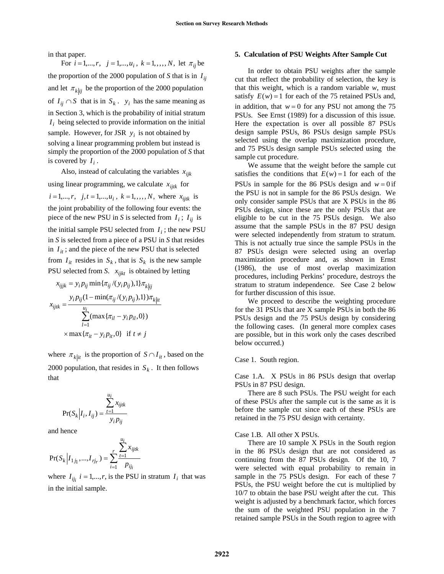in that paper.

For  $i = 1,...,r$ ,  $j = 1,...,u_i$ ,  $k = 1, ..., N$ , let  $\pi_{ij}$  be the proportion of the 2000 population of *S* that is in  $I_{ij}$ and let  $\pi_{k|ij}$  be the proportion of the 2000 population of  $I_{ij} \cap S$  that is in  $S_k$ .  $y_i$  has the same meaning as in Section 3, which is the probability of initial stratum  $I_i$  being selected to provide information on the initial sample. However, for JSR  $y_i$  is not obtained by solving a linear programming problem but instead is simply the proportion of the 2000 population of *S* that is covered by  $I_i$ .

Also, instead of calculating the variables  $x_{ijk}$ using linear programming, we calculate  $x_{ijtk}$  for  $i = 1,...,r$ ,  $j, t = 1,...,u_i$ ,  $k = 1, ..., N$ , where  $x_{ijtk}$  is the joint probability of the following four events: the piece of the new PSU in *S* is selected from  $I_i$ ;  $I_{ij}$  is the initial sample PSU selected from  $I_i$ ; the new PSU in *S* is selected from a piece of a PSU in *S* that resides in  $I_{it}$ ; and the piece of the new PSU that is selected from  $I_{it}$  resides in  $S_k$ , that is  $S_k$  is the new sample PSU selected from *S*.  $x_{ijkt}$  is obtained by letting

$$
x_{ijjk} = y_i p_{ij} \min{\{\pi_{ij}/(y_i p_{ij}), 1\}} \pi_{k|ij}
$$

$$
x_{ijik} = \frac{y_i p_{ij} (1 - \min(\pi_{ij}/(y_i p_{ij}), 1)) \pi_{k|ii}}{\sum_{l=1}^{u_i} (\max{\{\pi_{il} - y_i p_{il}, 0\}})}
$$

$$
\times \max{\{\pi_{it} - y_i p_{it}, 0\}} \text{ if } t \neq j
$$

where  $\pi_{k|it}$  is the proportion of  $S \cap I_{it}$ , based on the 2000 population, that resides in  $S_k$ . It then follows that

$$
Pr(S_k | I_i, I_{ij}) = \frac{\sum_{t=1}^{u_i} x_{ijtk}}{y_i p_{ij}}
$$

and hence

$$
\Pr(S_k \Big | I_{1 j_1},...,I_{r j_r}) = \sum_{i=1}^r \frac{\sum_{t=1}^{u_i} x_{ijtk}}{p_{ij_i}}
$$

where  $I_{ij}$   $i = 1,...,r$ , is the PSU in stratum  $I_i$  that was in the initial sample.

# **5. Calculation of PSU Weights After Sample Cut**

In order to obtain PSU weights after the sample cut that reflect the probability of selection, the key is that this weight, which is a random variable *w*, must satisfy  $E(w) = 1$  for each of the 75 retained PSUs and, in addition, that  $w = 0$  for any PSU not among the 75 PSUs. See Ernst (1989) for a discussion of this issue. Here the expectation is over all possible 87 PSUs design sample PSUs, 86 PSUs design sample PSUs selected using the overlap maximization procedure, and 75 PSUs design sample PSUs selected using the sample cut procedure.

We assume that the weight before the sample cut satisfies the conditions that  $E(w) = 1$  for each of the PSUs in sample for the 86 PSUs design and  $w = 0$  if the PSU is not in sample for the 86 PSUs design. We only consider sample PSUs that are X PSUs in the 86 PSUs design, since these are the only PSUs that are eligible to be cut in the 75 PSUs design. We also assume that the sample PSUs in the 87 PSU design were selected independently from stratum to stratum. This is not actually true since the sample PSUs in the 87 PSUs design were selected using an overlap maximization procedure and, as shown in Ernst (1986), the use of most overlap maximization procedures, including Perkins' procedure, destroys the stratum to stratum independence. See Case 2 below for further discussion of this issue.

We proceed to describe the weighting procedure for the 31 PSUs that are X sample PSUs in both the 86 PSUs design and the 75 PSUs design by considering the following cases. (In general more complex cases are possible, but in this work only the cases described below occurred.)

Case 1. South region.

Case 1.A. X PSUs in 86 PSUs design that overlap PSUs in 87 PSU design.

There are 8 such PSUs. The PSU weight for each of these PSUs after the sample cut is the same as it is before the sample cut since each of these PSUs are retained in the 75 PSU design with certainty.

#### Case 1.B. All other X PSUs.

There are 10 sample X PSUs in the South region in the 86 PSUs design that are not considered as continuing from the 87 PSUs design. Of the 10, 7 were selected with equal probability to remain in sample in the 75 PSUs design. For each of these 7 PSUs, the PSU weight before the cut is multiplied by 10/7 to obtain the base PSU weight after the cut. This weight is adjusted by a benchmark factor, which forces the sum of the weighted PSU population in the 7 retained sample PSUs in the South region to agree with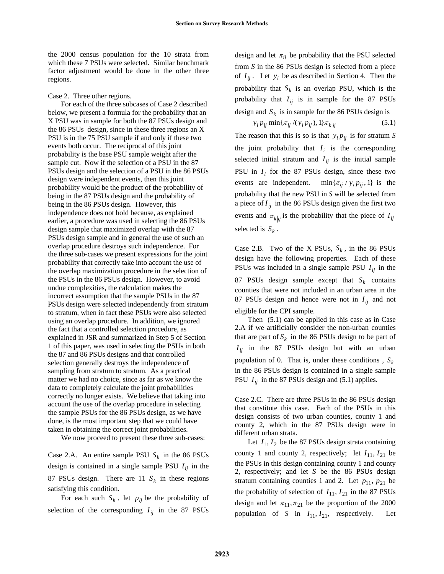the 2000 census population for the 10 strata from which these 7 PSUs were selected. Similar benchmark factor adjustment would be done in the other three regions.

# Case 2. Three other regions.

For each of the three subcases of Case 2 described below, we present a formula for the probability that an X PSU was in sample for both the 87 PSUs design and the 86 PSUs design, since in these three regions an X PSU is in the 75 PSU sample if and only if these two events both occur. The reciprocal of this joint probability is the base PSU sample weight after the sample cut. Now if the selection of a PSU in the 87 PSUs design and the selection of a PSU in the 86 PSUs design were independent events, then this joint probability would be the product of the probability of being in the 87 PSUs design and the probability of being in the 86 PSUs design. However, this independence does not hold because, as explained earlier, a procedure was used in selecting the 86 PSUs design sample that maximized overlap with the 87 PSUs design sample and in general the use of such an overlap procedure destroys such independence. For the three sub-cases we present expressions for the joint probability that correctly take into account the use of the overlap maximization procedure in the selection of the PSUs in the 86 PSUs design. However, to avoid undue complexities, the calculation makes the incorrect assumption that the sample PSUs in the 87 PSUs design were selected independently from stratum to stratum, when in fact these PSUs were also selected using an overlap procedure. In addition, we ignored the fact that a controlled selection procedure, as explained in JSR and summarized in Step 5 of Section 1 of this paper, was used in selecting the PSUs in both the 87 and 86 PSUs designs and that controlled selection generally destroys the independence of sampling from stratum to stratum. As a practical matter we had no choice, since as far as we know the data to completely calculate the joint probabilities correctly no longer exists. We believe that taking into account the use of the overlap procedure in selecting the sample PSUs for the 86 PSUs design, as we have done, is the most important step that we could have taken in obtaining the correct joint probabilities.

We now proceed to present these three sub-cases:

Case 2.A. An entire sample PSU  $S_k$  in the 86 PSUs design is contained in a single sample PSU  $I_{ij}$  in the 87 PSUs design. There are 11  $S_k$  in these regions satisfying this condition.

For each such  $S_k$ , let  $p_{ij}$  be the probability of selection of the corresponding  $I_{ij}$  in the 87 PSUs

design and let  $\pi_{ij}$  be probability that the PSU selected from *S* in the 86 PSUs design is selected from a piece of  $I_{ij}$ . Let  $y_i$  be as described in Section 4. Then the probability that  $S_k$  is an overlap PSU, which is the probability that  $I_{ij}$  is in sample for the 87 PSUs design and  $S_k$  is in sample for the 86 PSUs design is

$$
y_i p_{ij} \min\{\pi_{ij} / (y_i p_{ij}), 1\} \pi_{k|ij} \tag{5.1}
$$

The reason that this is so is that  $y_i p_{ij}$  is for stratum *S* the joint probability that  $I_i$  is the corresponding selected initial stratum and  $I_{ij}$  is the initial sample PSU in  $I_i$  for the 87 PSUs design, since these two events are independent.  $\min{\pi_{ij}} / y_i p_{ij}$ , 1} is the probability that the new PSU in *S* will be selected from a piece of  $I_{ij}$  in the 86 PSUs design given the first two events and  $\pi_{k|ij}$  is the probability that the piece of  $I_{ij}$ selected is  $S_k$ .

Case 2.B. Two of the X PSUs,  $S_k$ , in the 86 PSUs design have the following properties. Each of these PSUs was included in a single sample PSU  $I_{ij}$  in the 87 PSUs design sample except that  $S_k$  contains counties that were not included in an urban area in the 87 PSUs design and hence were not in  $I_{ij}$  and not eligible for the CPI sample.

Then (5.1) can be applied in this case as in Case 2.A if we artificially consider the non-urban counties that are part of  $S_k$  in the 86 PSUs design to be part of  $I_{ij}$  in the 87 PSUs design but with an urban population of 0. That is, under these conditions,  $S_k$ in the 86 PSUs design is contained in a single sample PSU  $I_{ij}$  in the 87 PSUs design and (5.1) applies.

Case 2.C. There are three PSUs in the 86 PSUs design that constitute this case. Each of the PSUs in this design consists of two urban counties, county 1 and county 2, which in the 87 PSUs design were in different urban strata.

Let  $I_1$ ,  $I_2$  be the 87 PSUs design strata containing county 1 and county 2, respectively; let  $I_{11}$ ,  $I_{21}$  be the PSUs in this design containing county 1 and county 2, respectively; and let *S* be the 86 PSUs design stratum containing counties 1 and 2. Let  $p_{11}$ ,  $p_{21}$  be the probability of selection of  $I_{11}$ ,  $I_{21}$  in the 87 PSUs design and let  $\pi_{11}, \pi_{21}$  be the proportion of the 2000 population of *S* in  $I_{11}$ ,  $I_{21}$ , respectively. Let